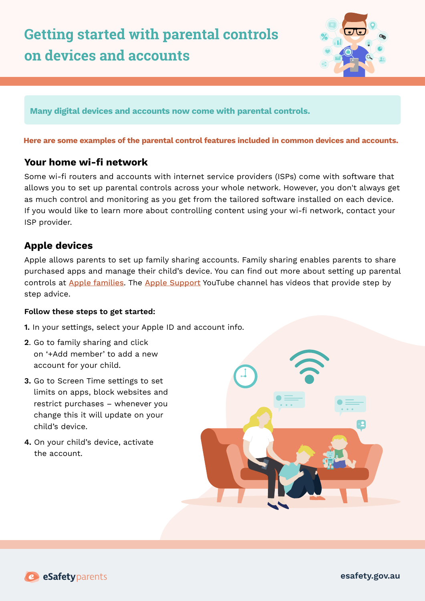

**Many digital devices and accounts now come with parental controls.** 

#### **Here are some examples of the parental control features included in common devices and accounts.**

### **Your home wi-fi network**

Some wi-fi routers and accounts with internet service providers (ISPs) come with software that allows you to set up parental controls across your whole network. However, you don't always get as much control and monitoring as you get from the tailored software installed on each device. If you would like to learn more about controlling content using your wi-fi network, contact your ISP provider.

# **Apple devices**

Apple allows parents to set up family sharing accounts. Family sharing enables parents to share purchased apps and manage their child's device. You can find out more about setting up parental controls at [Apple families](https://www.apple.com/au/families/). The [Apple Support](https://www.apple.com/au/families/) YouTube channel has videos that provide step by step advice.

#### **Follow these steps to get started:**

- **1.** In your settings, select your Apple ID and account info.
- **2**. Go to family sharing and click on '+Add member' to add a new account for your child.
- **3.** Go to Screen Time settings to set limits on apps, block websites and restrict purchases – whenever you change this it will update on your child's device.
- **4.** On your child's device, activate the account.